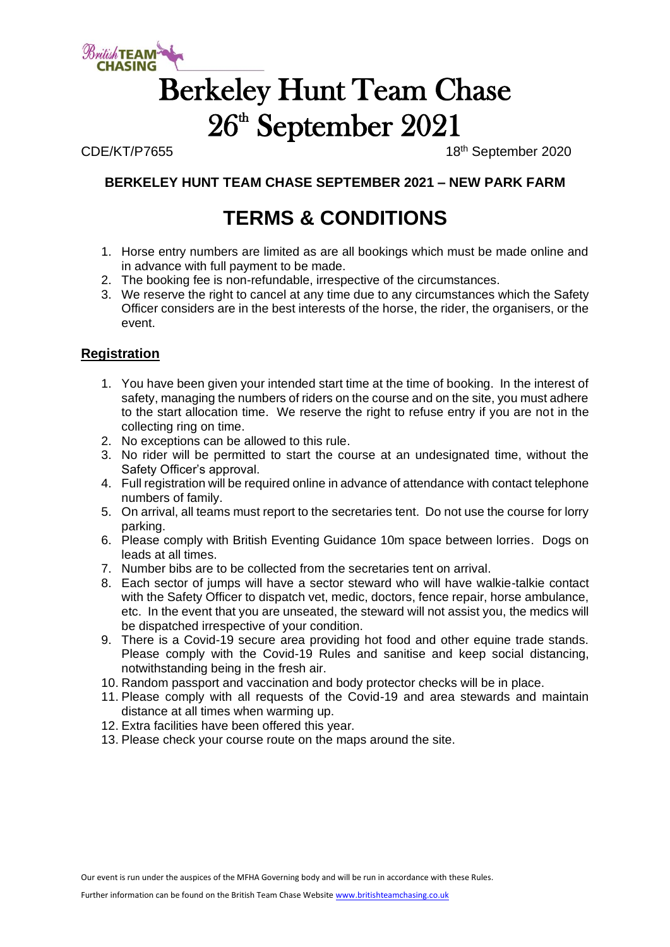

## Berkeley Hunt Team Chase 26 th September 2021

CDE/KT/P7655 18th September 2020

### **BERKELEY HUNT TEAM CHASE SEPTEMBER 2021 – NEW PARK FARM**

### **TERMS & CONDITIONS**

- 1. Horse entry numbers are limited as are all bookings which must be made online and in advance with full payment to be made.
- 2. The booking fee is non-refundable, irrespective of the circumstances.
- 3. We reserve the right to cancel at any time due to any circumstances which the Safety Officer considers are in the best interests of the horse, the rider, the organisers, or the event.

#### **Registration**

- 1. You have been given your intended start time at the time of booking. In the interest of safety, managing the numbers of riders on the course and on the site, you must adhere to the start allocation time. We reserve the right to refuse entry if you are not in the collecting ring on time.
- 2. No exceptions can be allowed to this rule.
- 3. No rider will be permitted to start the course at an undesignated time, without the Safety Officer's approval.
- 4. Full registration will be required online in advance of attendance with contact telephone numbers of family.
- 5. On arrival, all teams must report to the secretaries tent. Do not use the course for lorry parking.
- 6. Please comply with British Eventing Guidance 10m space between lorries. Dogs on leads at all times.
- 7. Number bibs are to be collected from the secretaries tent on arrival.
- 8. Each sector of jumps will have a sector steward who will have walkie-talkie contact with the Safety Officer to dispatch vet, medic, doctors, fence repair, horse ambulance, etc. In the event that you are unseated, the steward will not assist you, the medics will be dispatched irrespective of your condition.
- 9. There is a Covid-19 secure area providing hot food and other equine trade stands. Please comply with the Covid-19 Rules and sanitise and keep social distancing, notwithstanding being in the fresh air.
- 10. Random passport and vaccination and body protector checks will be in place.
- 11. Please comply with all requests of the Covid-19 and area stewards and maintain distance at all times when warming up.
- 12. Extra facilities have been offered this year.
- 13. Please check your course route on the maps around the site.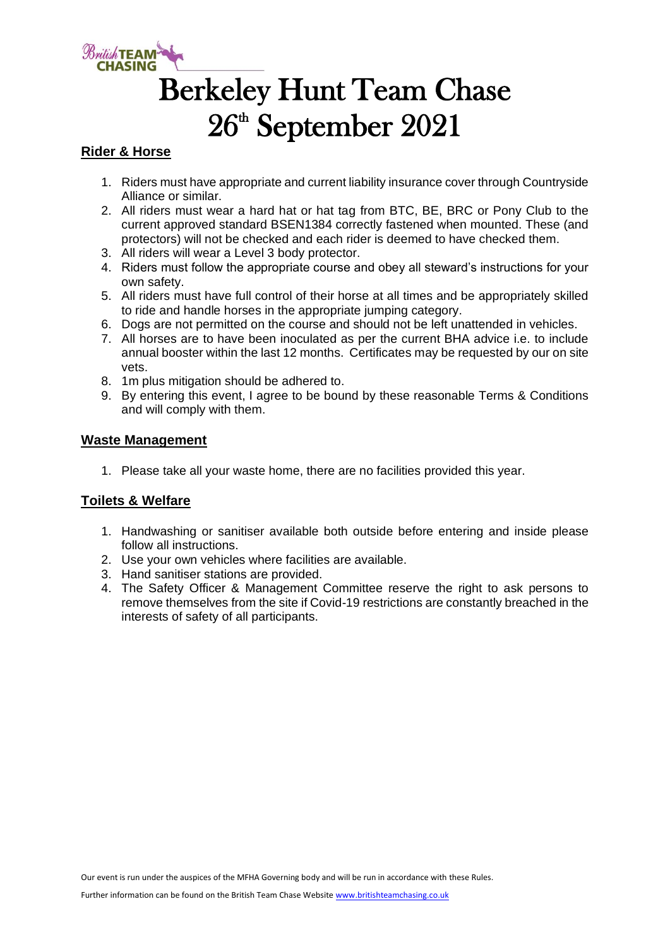

## Berkeley Hunt Team Chase  $26<sup>th</sup>$  September 2021

#### **Rider & Horse**

- 1. Riders must have appropriate and current liability insurance cover through Countryside Alliance or similar.
- 2. All riders must wear a hard hat or hat tag from BTC, BE, BRC or Pony Club to the current approved standard BSEN1384 correctly fastened when mounted. These (and protectors) will not be checked and each rider is deemed to have checked them.
- 3. All riders will wear a Level 3 body protector.
- 4. Riders must follow the appropriate course and obey all steward's instructions for your own safety.
- 5. All riders must have full control of their horse at all times and be appropriately skilled to ride and handle horses in the appropriate jumping category.
- 6. Dogs are not permitted on the course and should not be left unattended in vehicles.
- 7. All horses are to have been inoculated as per the current BHA advice i.e. to include annual booster within the last 12 months. Certificates may be requested by our on site vets.
- 8. 1m plus mitigation should be adhered to.
- 9. By entering this event, I agree to be bound by these reasonable Terms & Conditions and will comply with them.

#### **Waste Management**

1. Please take all your waste home, there are no facilities provided this year.

#### **Toilets & Welfare**

- 1. Handwashing or sanitiser available both outside before entering and inside please follow all instructions.
- 2. Use your own vehicles where facilities are available.
- 3. Hand sanitiser stations are provided.
- 4. The Safety Officer & Management Committee reserve the right to ask persons to remove themselves from the site if Covid-19 restrictions are constantly breached in the interests of safety of all participants.